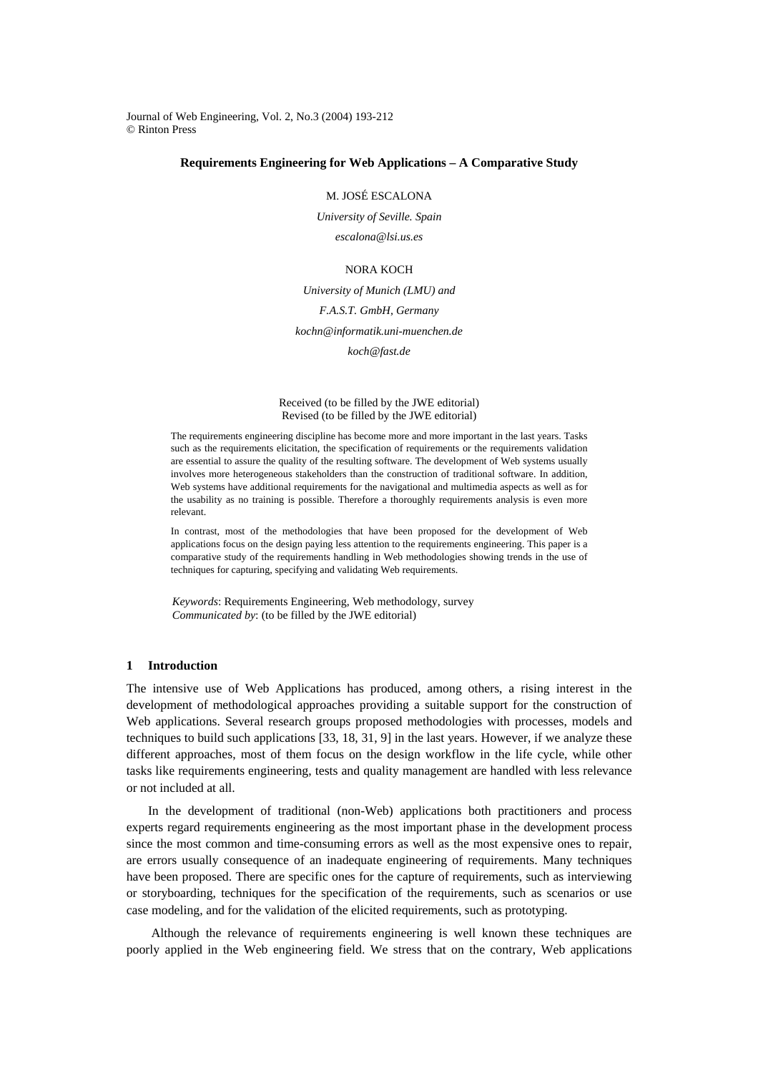Journal of Web Engineering, Vol. 2, No.3 (2004) 193-212 © Rinton Press

# **Requirements Engineering for Web Applications – A Comparative Study**

### M. JOSÉ ESCALONA

*University of Seville. Spain escalona@lsi.us.es* 

### NORA KOCH

## *University of Munich (LMU) and*

### *F.A.S.T. GmbH, Germany*

#### *kochn@informatik.uni-muenchen.de*

*koch@fast.de* 

#### Received (to be filled by the JWE editorial) Revised (to be filled by the JWE editorial)

The requirements engineering discipline has become more and more important in the last years. Tasks such as the requirements elicitation, the specification of requirements or the requirements validation are essential to assure the quality of the resulting software. The development of Web systems usually involves more heterogeneous stakeholders than the construction of traditional software. In addition, Web systems have additional requirements for the navigational and multimedia aspects as well as for the usability as no training is possible. Therefore a thoroughly requirements analysis is even more relevant.

In contrast, most of the methodologies that have been proposed for the development of Web applications focus on the design paying less attention to the requirements engineering. This paper is a comparative study of the requirements handling in Web methodologies showing trends in the use of techniques for capturing, specifying and validating Web requirements.

*Keywords*: Requirements Engineering, Web methodology, survey *Communicated by*: (to be filled by the JWE editorial)

## **1 Introduction**

The intensive use of Web Applications has produced, among others, a rising interest in the development of methodological approaches providing a suitable support for the construction of Web applications. Several research groups proposed methodologies with processes, models and techniques to build such applications [33, 18, 31, 9] in the last years. However, if we analyze these different approaches, most of them focus on the design workflow in the life cycle, while other tasks like requirements engineering, tests and quality management are handled with less relevance or not included at all.

In the development of traditional (non-Web) applications both practitioners and process experts regard requirements engineering as the most important phase in the development process since the most common and time-consuming errors as well as the most expensive ones to repair, are errors usually consequence of an inadequate engineering of requirements. Many techniques have been proposed. There are specific ones for the capture of requirements, such as interviewing or storyboarding, techniques for the specification of the requirements, such as scenarios or use case modeling, and for the validation of the elicited requirements, such as prototyping.

 Although the relevance of requirements engineering is well known these techniques are poorly applied in the Web engineering field. We stress that on the contrary, Web applications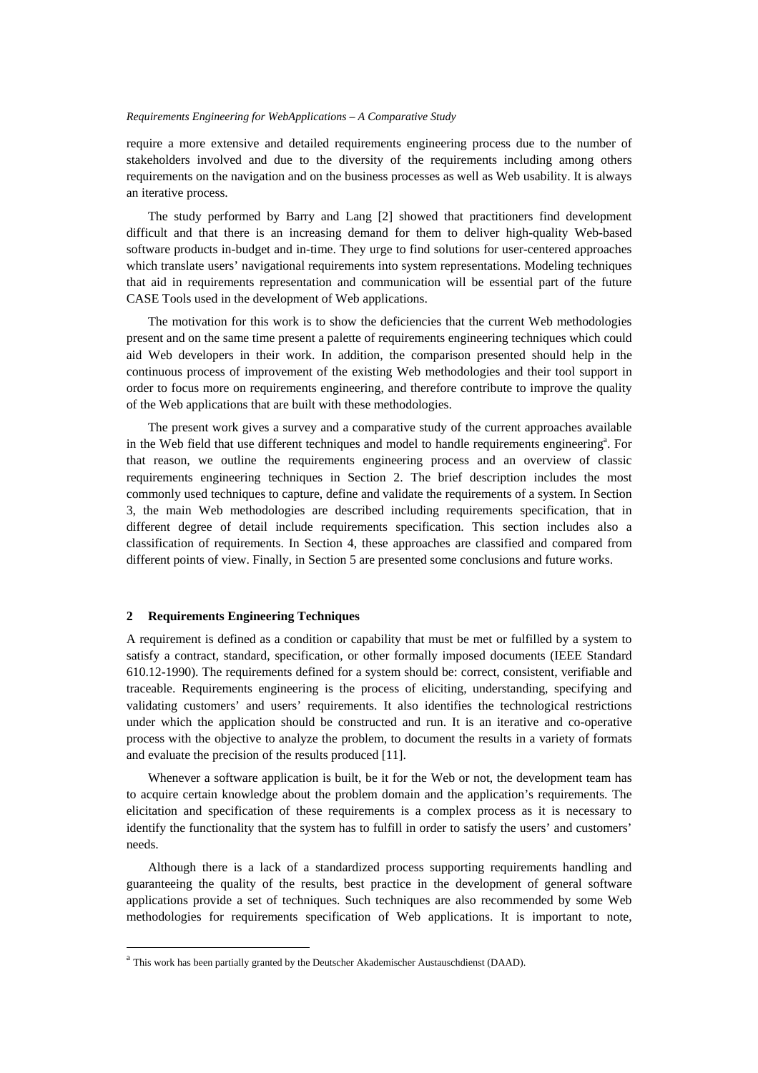require a more extensive and detailed requirements engineering process due to the number of stakeholders involved and due to the diversity of the requirements including among others requirements on the navigation and on the business processes as well as Web usability. It is always an iterative process.

The study performed by Barry and Lang [2] showed that practitioners find development difficult and that there is an increasing demand for them to deliver high-quality Web-based software products in-budget and in-time. They urge to find solutions for user-centered approaches which translate users' navigational requirements into system representations. Modeling techniques that aid in requirements representation and communication will be essential part of the future CASE Tools used in the development of Web applications.

The motivation for this work is to show the deficiencies that the current Web methodologies present and on the same time present a palette of requirements engineering techniques which could aid Web developers in their work. In addition, the comparison presented should help in the continuous process of improvement of the existing Web methodologies and their tool support in order to focus more on requirements engineering, and therefore contribute to improve the quality of the Web applications that are built with these methodologies.

The present work gives a survey and a comparative study of the current approaches available in the Web field that use different techniques and model to handle requirements engineering<sup>a</sup>. For that reason, we outline the requirements engineering process and an overview of classic requirements engineering techniques in Section 2. The brief description includes the most commonly used techniques to capture, define and validate the requirements of a system. In Section 3, the main Web methodologies are described including requirements specification, that in different degree of detail include requirements specification. This section includes also a classification of requirements. In Section 4, these approaches are classified and compared from different points of view. Finally, in Section 5 are presented some conclusions and future works.

## **2 Requirements Engineering Techniques**

 $\overline{a}$ 

A requirement is defined as a condition or capability that must be met or fulfilled by a system to satisfy a contract, standard, specification, or other formally imposed documents (IEEE Standard 610.12-1990). The requirements defined for a system should be: correct, consistent, verifiable and traceable. Requirements engineering is the process of eliciting, understanding, specifying and validating customers' and users' requirements. It also identifies the technological restrictions under which the application should be constructed and run. It is an iterative and co-operative process with the objective to analyze the problem, to document the results in a variety of formats and evaluate the precision of the results produced [11].

Whenever a software application is built, be it for the Web or not, the development team has to acquire certain knowledge about the problem domain and the application's requirements. The elicitation and specification of these requirements is a complex process as it is necessary to identify the functionality that the system has to fulfill in order to satisfy the users' and customers' needs.

Although there is a lack of a standardized process supporting requirements handling and guaranteeing the quality of the results, best practice in the development of general software applications provide a set of techniques. Such techniques are also recommended by some Web methodologies for requirements specification of Web applications. It is important to note,

<sup>a</sup> This work has been partially granted by the Deutscher Akademischer Austauschdienst (DAAD).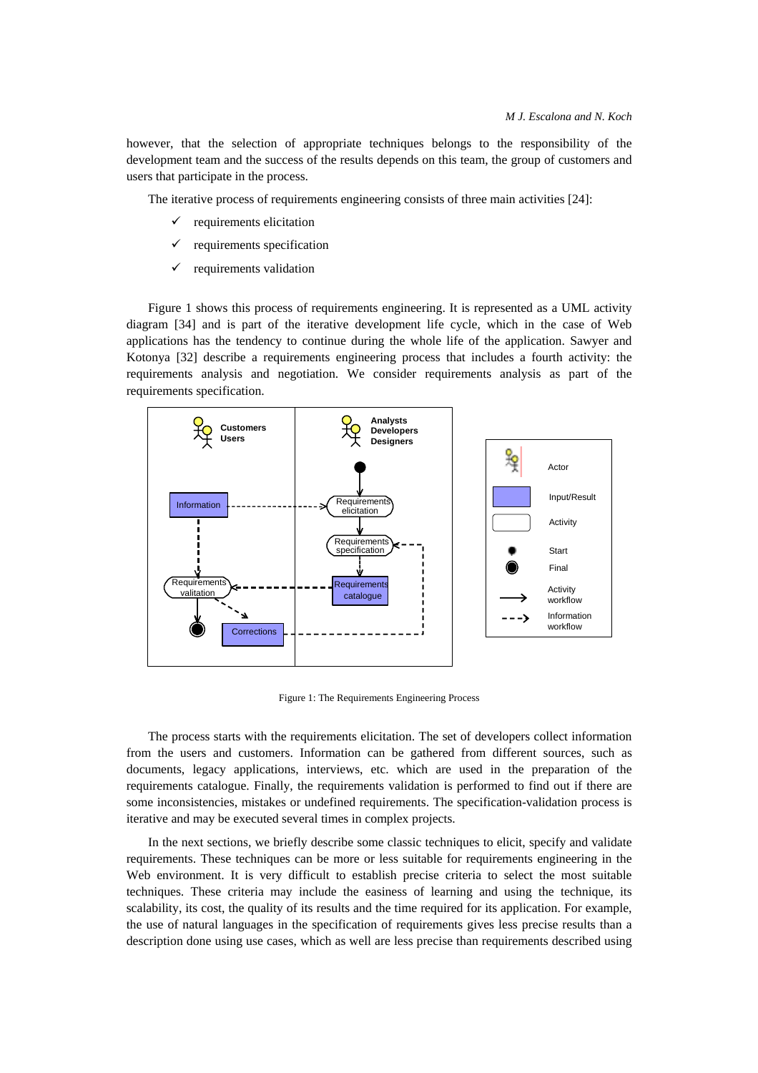however, that the selection of appropriate techniques belongs to the responsibility of the development team and the success of the results depends on this team, the group of customers and users that participate in the process.

The iterative process of requirements engineering consists of three main activities [24]:

- requirements elicitation
- requirements specification
- $\checkmark$  requirements validation

Figure 1 shows this process of requirements engineering. It is represented as a UML activity diagram [34] and is part of the iterative development life cycle, which in the case of Web applications has the tendency to continue during the whole life of the application. Sawyer and Kotonya [32] describe a requirements engineering process that includes a fourth activity: the requirements analysis and negotiation. We consider requirements analysis as part of the requirements specification.



Figure 1: The Requirements Engineering Process

The process starts with the requirements elicitation. The set of developers collect information from the users and customers. Information can be gathered from different sources, such as documents, legacy applications, interviews, etc. which are used in the preparation of the requirements catalogue. Finally, the requirements validation is performed to find out if there are some inconsistencies, mistakes or undefined requirements. The specification-validation process is iterative and may be executed several times in complex projects.

In the next sections, we briefly describe some classic techniques to elicit, specify and validate requirements. These techniques can be more or less suitable for requirements engineering in the Web environment. It is very difficult to establish precise criteria to select the most suitable techniques. These criteria may include the easiness of learning and using the technique, its scalability, its cost, the quality of its results and the time required for its application. For example, the use of natural languages in the specification of requirements gives less precise results than a description done using use cases, which as well are less precise than requirements described using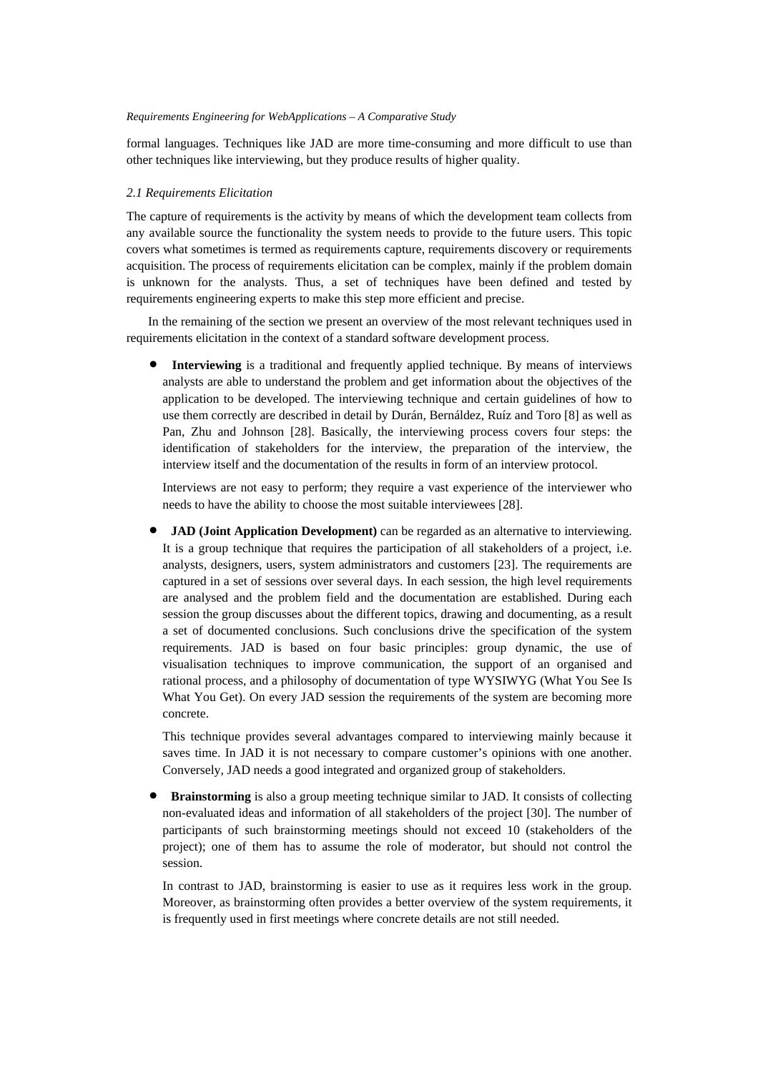formal languages. Techniques like JAD are more time-consuming and more difficult to use than other techniques like interviewing, but they produce results of higher quality.

### *2.1 Requirements Elicitation*

The capture of requirements is the activity by means of which the development team collects from any available source the functionality the system needs to provide to the future users. This topic covers what sometimes is termed as requirements capture, requirements discovery or requirements acquisition. The process of requirements elicitation can be complex, mainly if the problem domain is unknown for the analysts. Thus, a set of techniques have been defined and tested by requirements engineering experts to make this step more efficient and precise.

In the remaining of the section we present an overview of the most relevant techniques used in requirements elicitation in the context of a standard software development process.

**Interviewing** is a traditional and frequently applied technique. By means of interviews analysts are able to understand the problem and get information about the objectives of the application to be developed. The interviewing technique and certain guidelines of how to use them correctly are described in detail by Durán, Bernáldez, Ruíz and Toro [8] as well as Pan, Zhu and Johnson [28]. Basically, the interviewing process covers four steps: the identification of stakeholders for the interview, the preparation of the interview, the interview itself and the documentation of the results in form of an interview protocol.

Interviews are not easy to perform; they require a vast experience of the interviewer who needs to have the ability to choose the most suitable interviewees [28].

**JAD (Joint Application Development)** can be regarded as an alternative to interviewing. It is a group technique that requires the participation of all stakeholders of a project, i.e. analysts, designers, users, system administrators and customers [23]. The requirements are captured in a set of sessions over several days. In each session, the high level requirements are analysed and the problem field and the documentation are established. During each session the group discusses about the different topics, drawing and documenting, as a result a set of documented conclusions. Such conclusions drive the specification of the system requirements. JAD is based on four basic principles: group dynamic, the use of visualisation techniques to improve communication, the support of an organised and rational process, and a philosophy of documentation of type WYSIWYG (What You See Is What You Get). On every JAD session the requirements of the system are becoming more concrete.

This technique provides several advantages compared to interviewing mainly because it saves time. In JAD it is not necessary to compare customer's opinions with one another. Conversely, JAD needs a good integrated and organized group of stakeholders.

**Brainstorming** is also a group meeting technique similar to JAD. It consists of collecting non-evaluated ideas and information of all stakeholders of the project [30]. The number of participants of such brainstorming meetings should not exceed 10 (stakeholders of the project); one of them has to assume the role of moderator, but should not control the session.

In contrast to JAD, brainstorming is easier to use as it requires less work in the group. Moreover, as brainstorming often provides a better overview of the system requirements, it is frequently used in first meetings where concrete details are not still needed.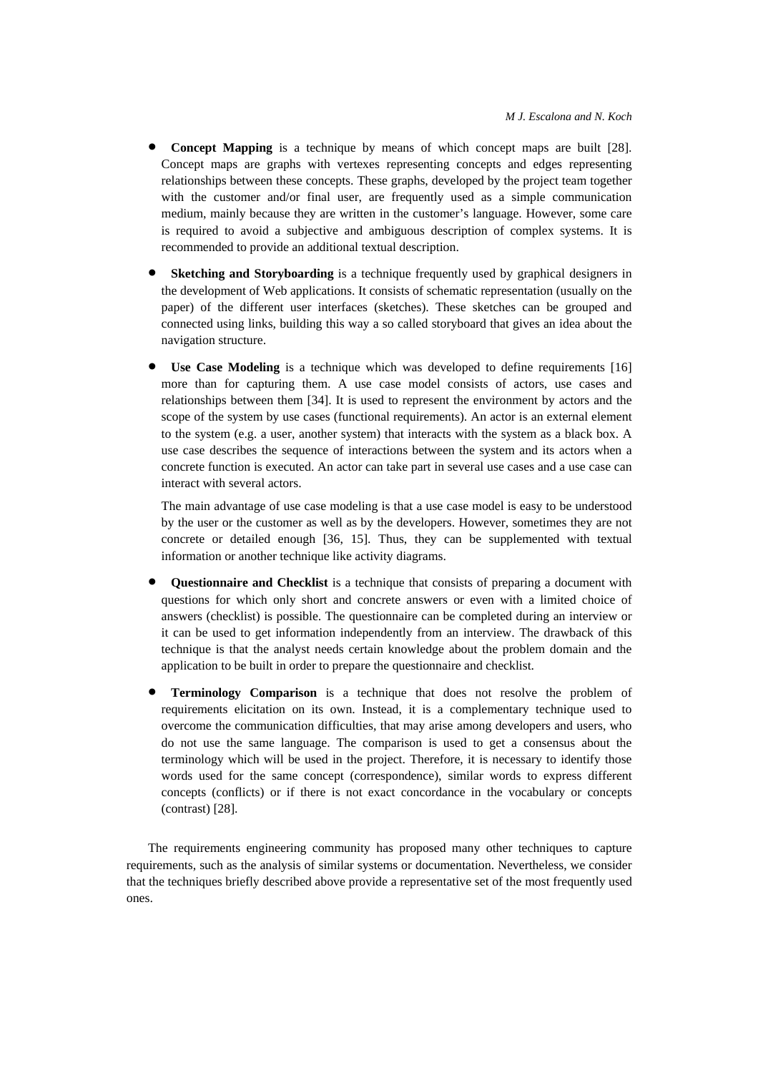- **Concept Mapping** is a technique by means of which concept maps are built [28]. Concept maps are graphs with vertexes representing concepts and edges representing relationships between these concepts. These graphs, developed by the project team together with the customer and/or final user, are frequently used as a simple communication medium, mainly because they are written in the customer's language. However, some care is required to avoid a subjective and ambiguous description of complex systems. It is recommended to provide an additional textual description.
- **Sketching and Storyboarding** is a technique frequently used by graphical designers in the development of Web applications. It consists of schematic representation (usually on the paper) of the different user interfaces (sketches). These sketches can be grouped and connected using links, building this way a so called storyboard that gives an idea about the navigation structure.
- **Use Case Modeling** is a technique which was developed to define requirements [16] more than for capturing them. A use case model consists of actors, use cases and relationships between them [34]. It is used to represent the environment by actors and the scope of the system by use cases (functional requirements). An actor is an external element to the system (e.g. a user, another system) that interacts with the system as a black box. A use case describes the sequence of interactions between the system and its actors when a concrete function is executed. An actor can take part in several use cases and a use case can interact with several actors.

The main advantage of use case modeling is that a use case model is easy to be understood by the user or the customer as well as by the developers. However, sometimes they are not concrete or detailed enough [36, 15]. Thus, they can be supplemented with textual information or another technique like activity diagrams.

- **Questionnaire and Checklist** is a technique that consists of preparing a document with questions for which only short and concrete answers or even with a limited choice of answers (checklist) is possible. The questionnaire can be completed during an interview or it can be used to get information independently from an interview. The drawback of this technique is that the analyst needs certain knowledge about the problem domain and the application to be built in order to prepare the questionnaire and checklist.
- **Terminology Comparison** is a technique that does not resolve the problem of requirements elicitation on its own. Instead, it is a complementary technique used to overcome the communication difficulties, that may arise among developers and users, who do not use the same language. The comparison is used to get a consensus about the terminology which will be used in the project. Therefore, it is necessary to identify those words used for the same concept (correspondence), similar words to express different concepts (conflicts) or if there is not exact concordance in the vocabulary or concepts (contrast) [28].

The requirements engineering community has proposed many other techniques to capture requirements, such as the analysis of similar systems or documentation. Nevertheless, we consider that the techniques briefly described above provide a representative set of the most frequently used ones.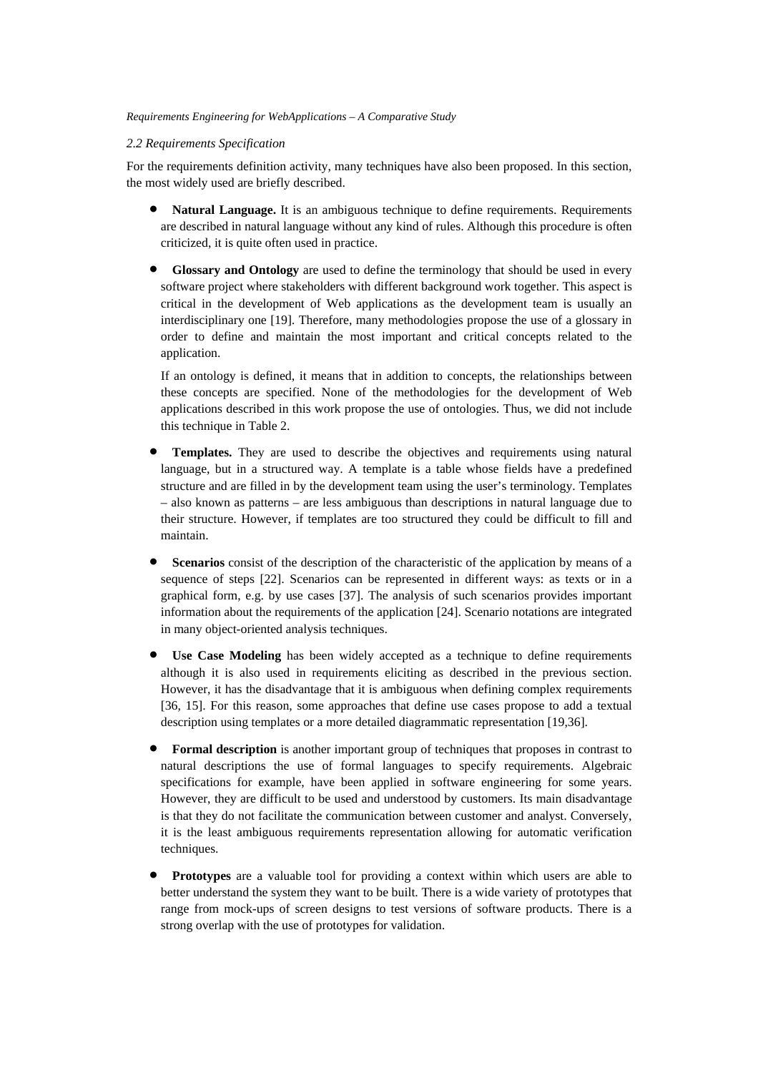## *2.2 Requirements Specification*

For the requirements definition activity, many techniques have also been proposed. In this section, the most widely used are briefly described.

- **Natural Language.** It is an ambiguous technique to define requirements. Requirements are described in natural language without any kind of rules. Although this procedure is often criticized, it is quite often used in practice.
- **Glossary and Ontology** are used to define the terminology that should be used in every software project where stakeholders with different background work together. This aspect is critical in the development of Web applications as the development team is usually an interdisciplinary one [19]. Therefore, many methodologies propose the use of a glossary in order to define and maintain the most important and critical concepts related to the application.

If an ontology is defined, it means that in addition to concepts, the relationships between these concepts are specified. None of the methodologies for the development of Web applications described in this work propose the use of ontologies. Thus, we did not include this technique in Table 2.

- **Templates.** They are used to describe the objectives and requirements using natural language, but in a structured way. A template is a table whose fields have a predefined structure and are filled in by the development team using the user's terminology. Templates – also known as patterns – are less ambiguous than descriptions in natural language due to their structure. However, if templates are too structured they could be difficult to fill and maintain.
- **Scenarios** consist of the description of the characteristic of the application by means of a sequence of steps [22]. Scenarios can be represented in different ways: as texts or in a graphical form, e.g. by use cases [37]. The analysis of such scenarios provides important information about the requirements of the application [24]. Scenario notations are integrated in many object-oriented analysis techniques.
- **Use Case Modeling** has been widely accepted as a technique to define requirements although it is also used in requirements eliciting as described in the previous section. However, it has the disadvantage that it is ambiguous when defining complex requirements [36, 15]. For this reason, some approaches that define use cases propose to add a textual description using templates or a more detailed diagrammatic representation [19,36].
- **Formal description** is another important group of techniques that proposes in contrast to natural descriptions the use of formal languages to specify requirements. Algebraic specifications for example, have been applied in software engineering for some years. However, they are difficult to be used and understood by customers. Its main disadvantage is that they do not facilitate the communication between customer and analyst. Conversely, it is the least ambiguous requirements representation allowing for automatic verification techniques.
- **Prototypes** are a valuable tool for providing a context within which users are able to better understand the system they want to be built. There is a wide variety of prototypes that range from mock-ups of screen designs to test versions of software products. There is a strong overlap with the use of prototypes for validation.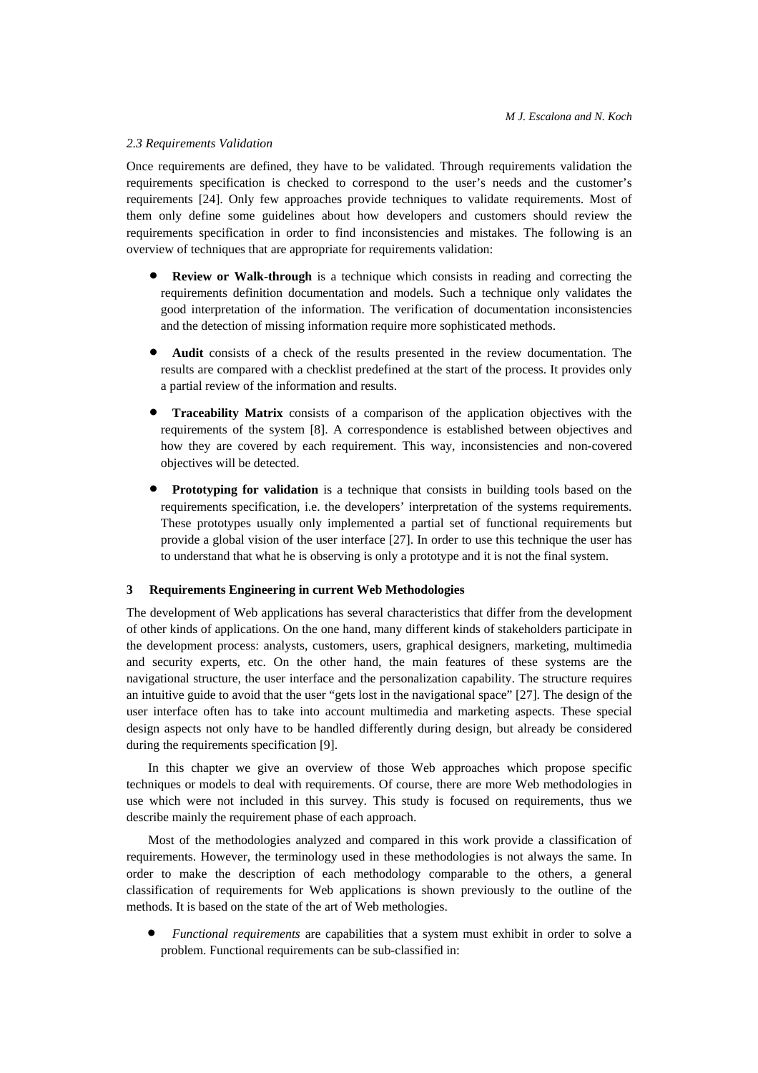## *2.3 Requirements Validation*

Once requirements are defined, they have to be validated. Through requirements validation the requirements specification is checked to correspond to the user's needs and the customer's requirements [24]. Only few approaches provide techniques to validate requirements. Most of them only define some guidelines about how developers and customers should review the requirements specification in order to find inconsistencies and mistakes. The following is an overview of techniques that are appropriate for requirements validation:

- **Review or Walk-through** is a technique which consists in reading and correcting the requirements definition documentation and models. Such a technique only validates the good interpretation of the information. The verification of documentation inconsistencies and the detection of missing information require more sophisticated methods.
- **Audit** consists of a check of the results presented in the review documentation. The results are compared with a checklist predefined at the start of the process. It provides only a partial review of the information and results.
- **Traceability Matrix** consists of a comparison of the application objectives with the requirements of the system [8]. A correspondence is established between objectives and how they are covered by each requirement. This way, inconsistencies and non-covered objectives will be detected.
- **Prototyping for validation** is a technique that consists in building tools based on the requirements specification, i.e. the developers' interpretation of the systems requirements. These prototypes usually only implemented a partial set of functional requirements but provide a global vision of the user interface [27]. In order to use this technique the user has to understand that what he is observing is only a prototype and it is not the final system.

# **3 Requirements Engineering in current Web Methodologies**

The development of Web applications has several characteristics that differ from the development of other kinds of applications. On the one hand, many different kinds of stakeholders participate in the development process: analysts, customers, users, graphical designers, marketing, multimedia and security experts, etc. On the other hand, the main features of these systems are the navigational structure, the user interface and the personalization capability. The structure requires an intuitive guide to avoid that the user "gets lost in the navigational space" [27]. The design of the user interface often has to take into account multimedia and marketing aspects. These special design aspects not only have to be handled differently during design, but already be considered during the requirements specification [9].

In this chapter we give an overview of those Web approaches which propose specific techniques or models to deal with requirements. Of course, there are more Web methodologies in use which were not included in this survey. This study is focused on requirements, thus we describe mainly the requirement phase of each approach.

Most of the methodologies analyzed and compared in this work provide a classification of requirements. However, the terminology used in these methodologies is not always the same. In order to make the description of each methodology comparable to the others, a general classification of requirements for Web applications is shown previously to the outline of the methods. It is based on the state of the art of Web methologies.

• *Functional requirements* are capabilities that a system must exhibit in order to solve a problem. Functional requirements can be sub-classified in: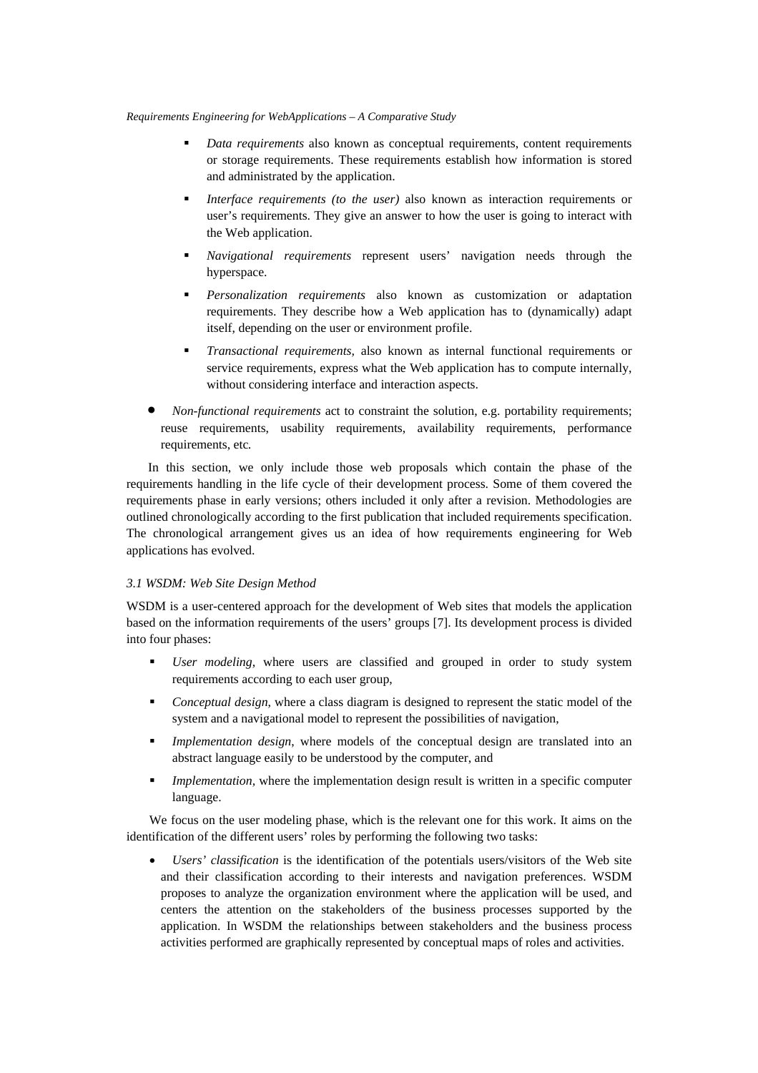- *Data requirements* also known as conceptual requirements, content requirements or storage requirements. These requirements establish how information is stored and administrated by the application.
- *Interface requirements (to the user)* also known as interaction requirements or user's requirements. They give an answer to how the user is going to interact with the Web application.
- *Navigational requirements* represent users' navigation needs through the hyperspace.
- *Personalization requirements* also known as customization or adaptation requirements. They describe how a Web application has to (dynamically) adapt itself, depending on the user or environment profile.
- *Transactional requirements,* also known as internal functional requirements or service requirements, express what the Web application has to compute internally, without considering interface and interaction aspects.
- *Non-functional requirements* act to constraint the solution, e.g. portability requirements; reuse requirements, usability requirements, availability requirements, performance requirements, etc*.*

In this section, we only include those web proposals which contain the phase of the requirements handling in the life cycle of their development process. Some of them covered the requirements phase in early versions; others included it only after a revision. Methodologies are outlined chronologically according to the first publication that included requirements specification. The chronological arrangement gives us an idea of how requirements engineering for Web applications has evolved.

## *3.1 WSDM: Web Site Design Method*

WSDM is a user-centered approach for the development of Web sites that models the application based on the information requirements of the users' groups [7]. Its development process is divided into four phases:

- *User modeling*, where users are classified and grouped in order to study system requirements according to each user group,
- *Conceptual design*, where a class diagram is designed to represent the static model of the system and a navigational model to represent the possibilities of navigation,
- *Implementation design*, where models of the conceptual design are translated into an abstract language easily to be understood by the computer, and
- **Implementation, where the implementation design result is written in a specific computer** language.

We focus on the user modeling phase, which is the relevant one for this work. It aims on the identification of the different users' roles by performing the following two tasks:

• *Users' classification* is the identification of the potentials users/visitors of the Web site and their classification according to their interests and navigation preferences. WSDM proposes to analyze the organization environment where the application will be used, and centers the attention on the stakeholders of the business processes supported by the application. In WSDM the relationships between stakeholders and the business process activities performed are graphically represented by conceptual maps of roles and activities.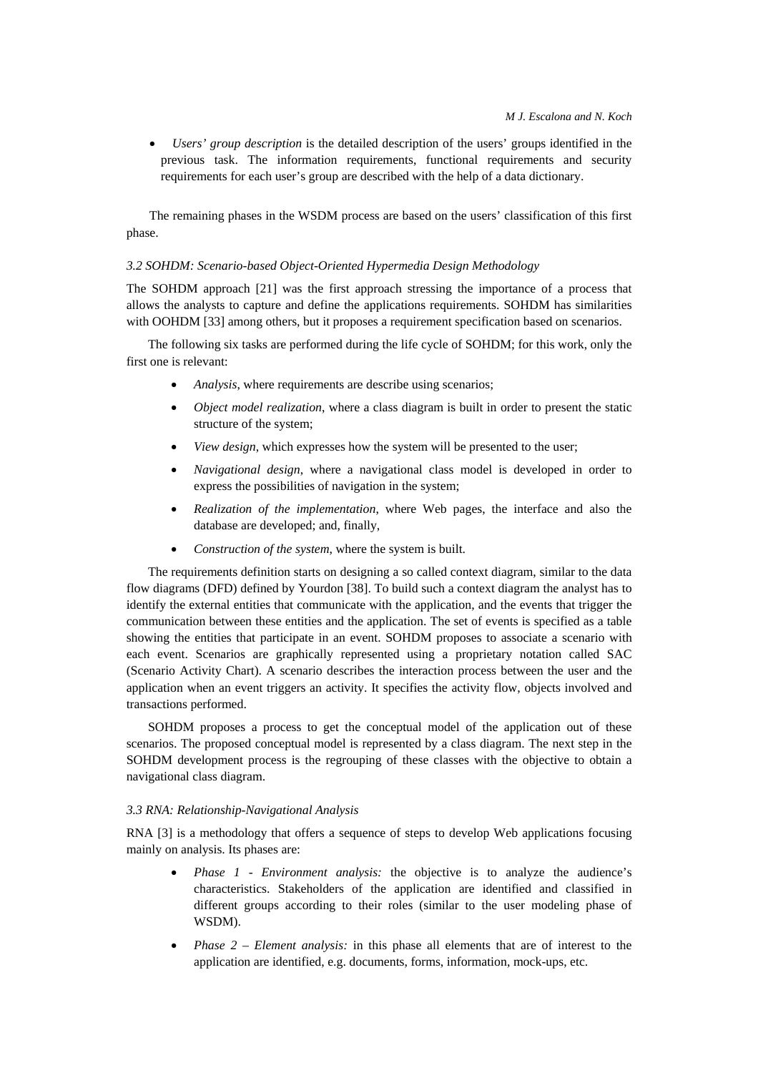• *Users' group description* is the detailed description of the users' groups identified in the previous task. The information requirements, functional requirements and security requirements for each user's group are described with the help of a data dictionary.

The remaining phases in the WSDM process are based on the users' classification of this first phase.

## *3.2 SOHDM: Scenario-based Object-Oriented Hypermedia Design Methodology*

The SOHDM approach [21] was the first approach stressing the importance of a process that allows the analysts to capture and define the applications requirements. SOHDM has similarities with OOHDM [33] among others, but it proposes a requirement specification based on scenarios.

The following six tasks are performed during the life cycle of SOHDM; for this work, only the first one is relevant:

- *Analysis*, where requirements are describe using scenarios;
- *Object model realization*, where a class diagram is built in order to present the static structure of the system;
- *View design*, which expresses how the system will be presented to the user;
- *Navigational design*, where a navigational class model is developed in order to express the possibilities of navigation in the system;
- *Realization of the implementation*, where Web pages, the interface and also the database are developed; and, finally,
- *Construction of the system*, where the system is built.

The requirements definition starts on designing a so called context diagram, similar to the data flow diagrams (DFD) defined by Yourdon [38]. To build such a context diagram the analyst has to identify the external entities that communicate with the application, and the events that trigger the communication between these entities and the application. The set of events is specified as a table showing the entities that participate in an event. SOHDM proposes to associate a scenario with each event. Scenarios are graphically represented using a proprietary notation called SAC (Scenario Activity Chart). A scenario describes the interaction process between the user and the application when an event triggers an activity. It specifies the activity flow, objects involved and transactions performed.

SOHDM proposes a process to get the conceptual model of the application out of these scenarios. The proposed conceptual model is represented by a class diagram. The next step in the SOHDM development process is the regrouping of these classes with the objective to obtain a navigational class diagram.

## *3.3 RNA: Relationship-Navigational Analysis*

RNA [3] is a methodology that offers a sequence of steps to develop Web applications focusing mainly on analysis. Its phases are:

- *Phase 1 Environment analysis:* the objective is to analyze the audience's characteristics. Stakeholders of the application are identified and classified in different groups according to their roles (similar to the user modeling phase of WSDM).
- *Phase 2 Element analysis:* in this phase all elements that are of interest to the application are identified, e.g. documents, forms, information, mock-ups, etc.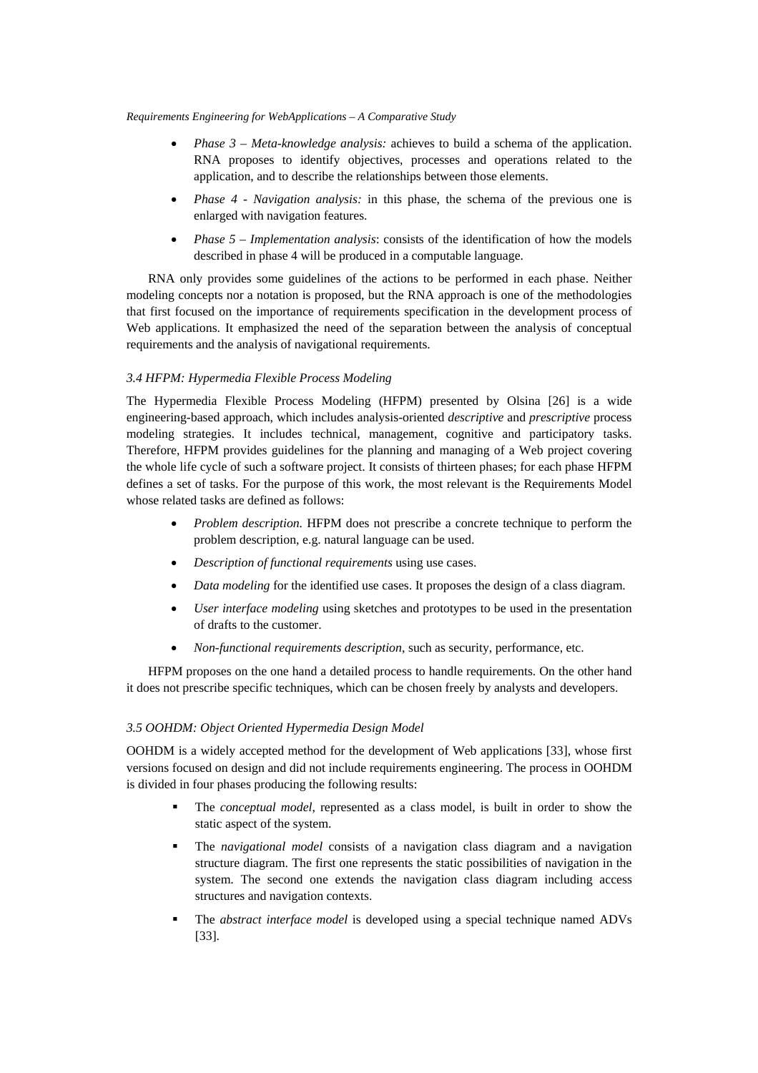- *Phase 3 Meta-knowledge analysis:* achieves to build a schema of the application. RNA proposes to identify objectives, processes and operations related to the application, and to describe the relationships between those elements.
- *Phase 4 Navigation analysis:* in this phase, the schema of the previous one is enlarged with navigation features.
- *Phase 5 Implementation analysis*: consists of the identification of how the models described in phase 4 will be produced in a computable language.

RNA only provides some guidelines of the actions to be performed in each phase. Neither modeling concepts nor a notation is proposed, but the RNA approach is one of the methodologies that first focused on the importance of requirements specification in the development process of Web applications. It emphasized the need of the separation between the analysis of conceptual requirements and the analysis of navigational requirements.

# *3.4 HFPM: Hypermedia Flexible Process Modeling*

The Hypermedia Flexible Process Modeling (HFPM) presented by Olsina [26] is a wide engineering-based approach, which includes analysis-oriented *descriptive* and *prescriptive* process modeling strategies. It includes technical, management, cognitive and participatory tasks. Therefore, HFPM provides guidelines for the planning and managing of a Web project covering the whole life cycle of such a software project. It consists of thirteen phases; for each phase HFPM defines a set of tasks. For the purpose of this work, the most relevant is the Requirements Model whose related tasks are defined as follows:

- *Problem description.* HFPM does not prescribe a concrete technique to perform the problem description, e.g. natural language can be used.
- *Description of functional requirements* using use cases.
- *Data modeling* for the identified use cases. It proposes the design of a class diagram.
- *User interface modeling* using sketches and prototypes to be used in the presentation of drafts to the customer.
- *Non-functional requirements description*, such as security, performance, etc.

HFPM proposes on the one hand a detailed process to handle requirements. On the other hand it does not prescribe specific techniques, which can be chosen freely by analysts and developers.

# *3.5 OOHDM: Object Oriented Hypermedia Design Model*

OOHDM is a widely accepted method for the development of Web applications [33], whose first versions focused on design and did not include requirements engineering. The process in OOHDM is divided in four phases producing the following results:

- The *conceptual model*, represented as a class model, is built in order to show the static aspect of the system.
- The *navigational model* consists of a navigation class diagram and a navigation structure diagram. The first one represents the static possibilities of navigation in the system. The second one extends the navigation class diagram including access structures and navigation contexts.
- The *abstract interface model* is developed using a special technique named ADVs [33].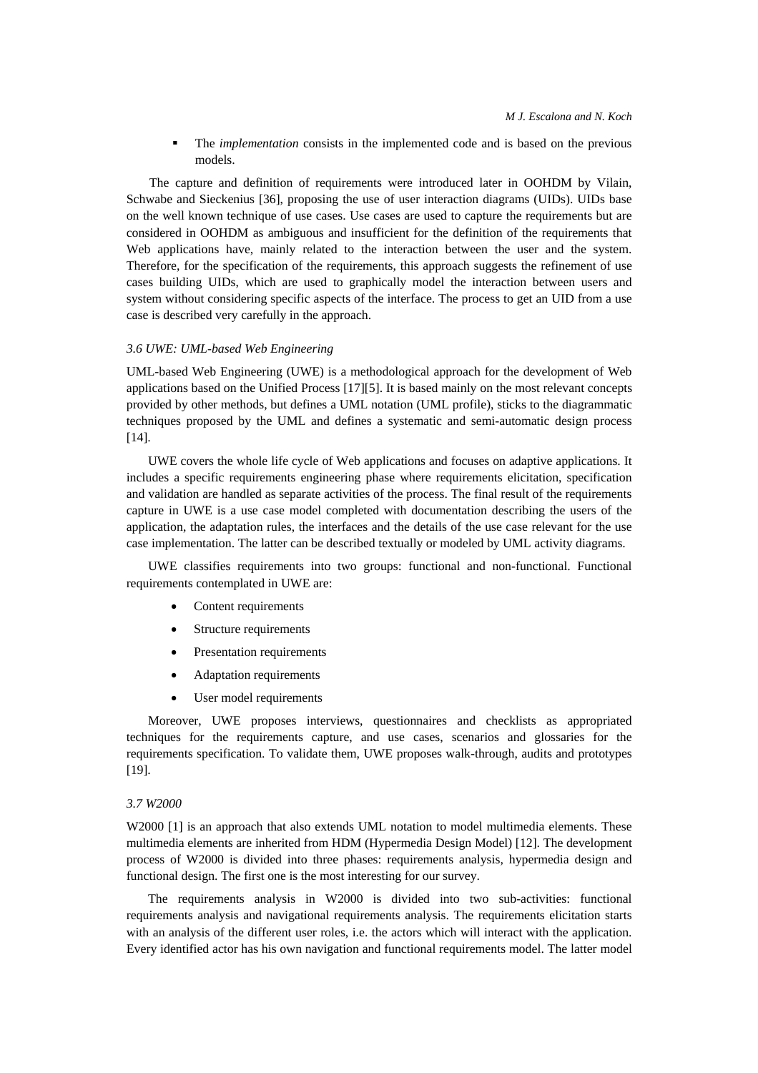The *implementation* consists in the implemented code and is based on the previous models.

The capture and definition of requirements were introduced later in OOHDM by Vilain, Schwabe and Sieckenius [36], proposing the use of user interaction diagrams (UIDs). UIDs base on the well known technique of use cases. Use cases are used to capture the requirements but are considered in OOHDM as ambiguous and insufficient for the definition of the requirements that Web applications have, mainly related to the interaction between the user and the system. Therefore, for the specification of the requirements, this approach suggests the refinement of use cases building UIDs, which are used to graphically model the interaction between users and system without considering specific aspects of the interface. The process to get an UID from a use case is described very carefully in the approach.

## *3.6 UWE: UML-based Web Engineering*

UML-based Web Engineering (UWE) is a methodological approach for the development of Web applications based on the Unified Process [17][5]. It is based mainly on the most relevant concepts provided by other methods, but defines a UML notation (UML profile), sticks to the diagrammatic techniques proposed by the UML and defines a systematic and semi-automatic design process [14].

UWE covers the whole life cycle of Web applications and focuses on adaptive applications. It includes a specific requirements engineering phase where requirements elicitation, specification and validation are handled as separate activities of the process. The final result of the requirements capture in UWE is a use case model completed with documentation describing the users of the application, the adaptation rules, the interfaces and the details of the use case relevant for the use case implementation. The latter can be described textually or modeled by UML activity diagrams.

UWE classifies requirements into two groups: functional and non-functional. Functional requirements contemplated in UWE are:

- Content requirements
- Structure requirements
- Presentation requirements
- Adaptation requirements
- User model requirements

Moreover, UWE proposes interviews, questionnaires and checklists as appropriated techniques for the requirements capture, and use cases, scenarios and glossaries for the requirements specification. To validate them, UWE proposes walk-through, audits and prototypes [19].

### *3.7 W2000*

W<sub>2000</sub> [1] is an approach that also extends UML notation to model multimedia elements. These multimedia elements are inherited from HDM (Hypermedia Design Model) [12]. The development process of W2000 is divided into three phases: requirements analysis, hypermedia design and functional design. The first one is the most interesting for our survey.

The requirements analysis in W2000 is divided into two sub-activities: functional requirements analysis and navigational requirements analysis. The requirements elicitation starts with an analysis of the different user roles, i.e. the actors which will interact with the application. Every identified actor has his own navigation and functional requirements model. The latter model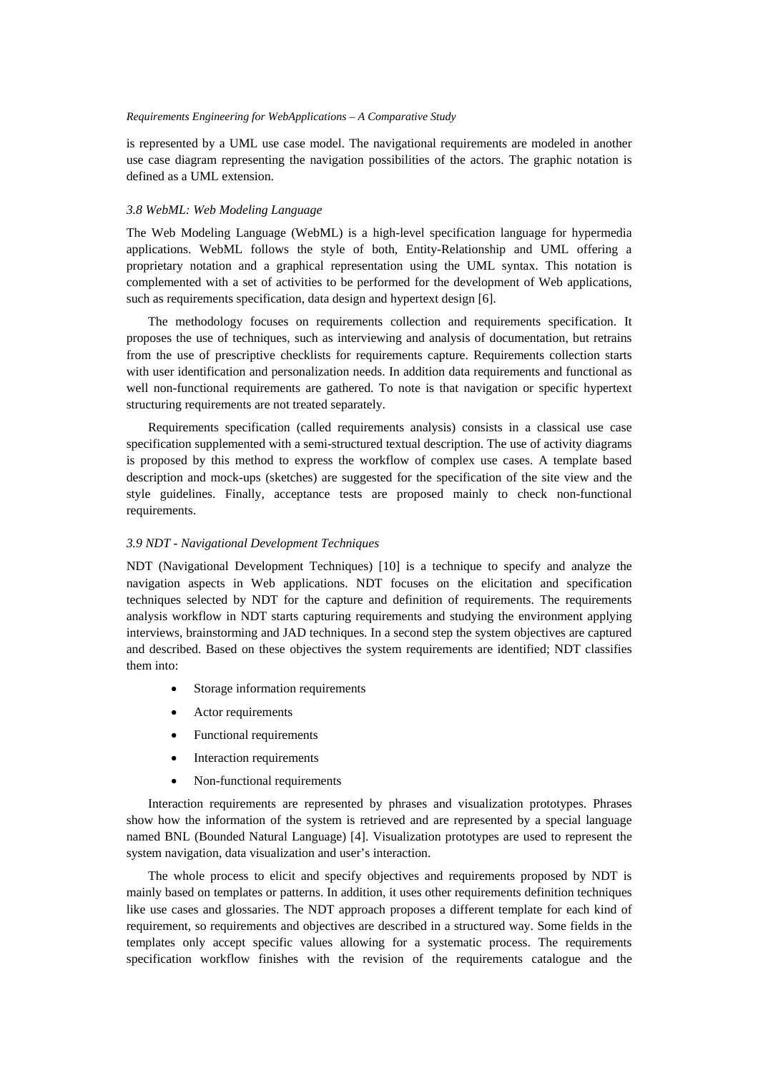is represented by a UML use case model. The navigational requirements are modeled in another use case diagram representing the navigation possibilities of the actors. The graphic notation is defined as a UML extension.

### *3.8 WebML: Web Modeling Language*

The Web Modeling Language (WebML) is a high-level specification language for hypermedia applications. WebML follows the style of both, Entity-Relationship and UML offering a proprietary notation and a graphical representation using the UML syntax. This notation is complemented with a set of activities to be performed for the development of Web applications, such as requirements specification, data design and hypertext design [6].

The methodology focuses on requirements collection and requirements specification. It proposes the use of techniques, such as interviewing and analysis of documentation, but retrains from the use of prescriptive checklists for requirements capture. Requirements collection starts with user identification and personalization needs. In addition data requirements and functional as well non-functional requirements are gathered. To note is that navigation or specific hypertext structuring requirements are not treated separately.

Requirements specification (called requirements analysis) consists in a classical use case specification supplemented with a semi-structured textual description. The use of activity diagrams is proposed by this method to express the workflow of complex use cases. A template based description and mock-ups (sketches) are suggested for the specification of the site view and the style guidelines. Finally, acceptance tests are proposed mainly to check non-functional requirements.

## *3.9 NDT - Navigational Development Techniques*

NDT (Navigational Development Techniques) [10] is a technique to specify and analyze the navigation aspects in Web applications. NDT focuses on the elicitation and specification techniques selected by NDT for the capture and definition of requirements. The requirements analysis workflow in NDT starts capturing requirements and studying the environment applying interviews, brainstorming and JAD techniques. In a second step the system objectives are captured and described. Based on these objectives the system requirements are identified; NDT classifies them into:

- Storage information requirements
- Actor requirements
- Functional requirements
- Interaction requirements
- Non-functional requirements

Interaction requirements are represented by phrases and visualization prototypes. Phrases show how the information of the system is retrieved and are represented by a special language named BNL (Bounded Natural Language) [4]. Visualization prototypes are used to represent the system navigation, data visualization and user's interaction.

The whole process to elicit and specify objectives and requirements proposed by NDT is mainly based on templates or patterns. In addition, it uses other requirements definition techniques like use cases and glossaries. The NDT approach proposes a different template for each kind of requirement, so requirements and objectives are described in a structured way. Some fields in the templates only accept specific values allowing for a systematic process. The requirements specification workflow finishes with the revision of the requirements catalogue and the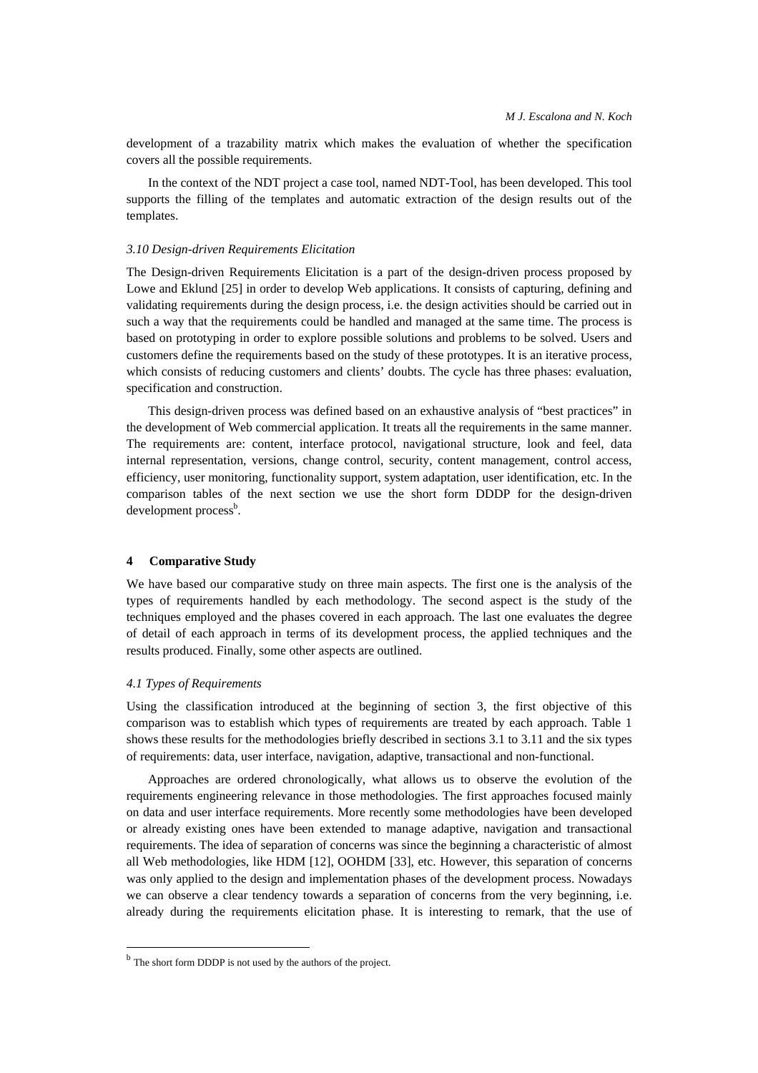development of a trazability matrix which makes the evaluation of whether the specification covers all the possible requirements.

In the context of the NDT project a case tool, named NDT-Tool, has been developed. This tool supports the filling of the templates and automatic extraction of the design results out of the templates.

### *3.10 Design-driven Requirements Elicitation*

The Design-driven Requirements Elicitation is a part of the design-driven process proposed by Lowe and Eklund [25] in order to develop Web applications. It consists of capturing, defining and validating requirements during the design process, i.e. the design activities should be carried out in such a way that the requirements could be handled and managed at the same time. The process is based on prototyping in order to explore possible solutions and problems to be solved. Users and customers define the requirements based on the study of these prototypes. It is an iterative process, which consists of reducing customers and clients' doubts. The cycle has three phases: evaluation, specification and construction.

This design-driven process was defined based on an exhaustive analysis of "best practices" in the development of Web commercial application. It treats all the requirements in the same manner. The requirements are: content, interface protocol, navigational structure, look and feel, data internal representation, versions, change control, security, content management, control access, efficiency, user monitoring, functionality support, system adaptation, user identification, etc. In the comparison tables of the next section we use the short form DDDP for the design-driven development process<sup>b</sup>.

### **4 Comparative Study**

We have based our comparative study on three main aspects. The first one is the analysis of the types of requirements handled by each methodology. The second aspect is the study of the techniques employed and the phases covered in each approach. The last one evaluates the degree of detail of each approach in terms of its development process, the applied techniques and the results produced. Finally, some other aspects are outlined.

## *4.1 Types of Requirements*

 $\overline{a}$ 

Using the classification introduced at the beginning of section 3, the first objective of this comparison was to establish which types of requirements are treated by each approach. Table 1 shows these results for the methodologies briefly described in sections 3.1 to 3.11 and the six types of requirements: data, user interface, navigation, adaptive, transactional and non-functional.

Approaches are ordered chronologically, what allows us to observe the evolution of the requirements engineering relevance in those methodologies. The first approaches focused mainly on data and user interface requirements. More recently some methodologies have been developed or already existing ones have been extended to manage adaptive, navigation and transactional requirements. The idea of separation of concerns was since the beginning a characteristic of almost all Web methodologies, like HDM [12], OOHDM [33], etc. However, this separation of concerns was only applied to the design and implementation phases of the development process. Nowadays we can observe a clear tendency towards a separation of concerns from the very beginning, i.e. already during the requirements elicitation phase. It is interesting to remark, that the use of

<sup>&</sup>lt;sup>b</sup> The short form DDDP is not used by the authors of the project.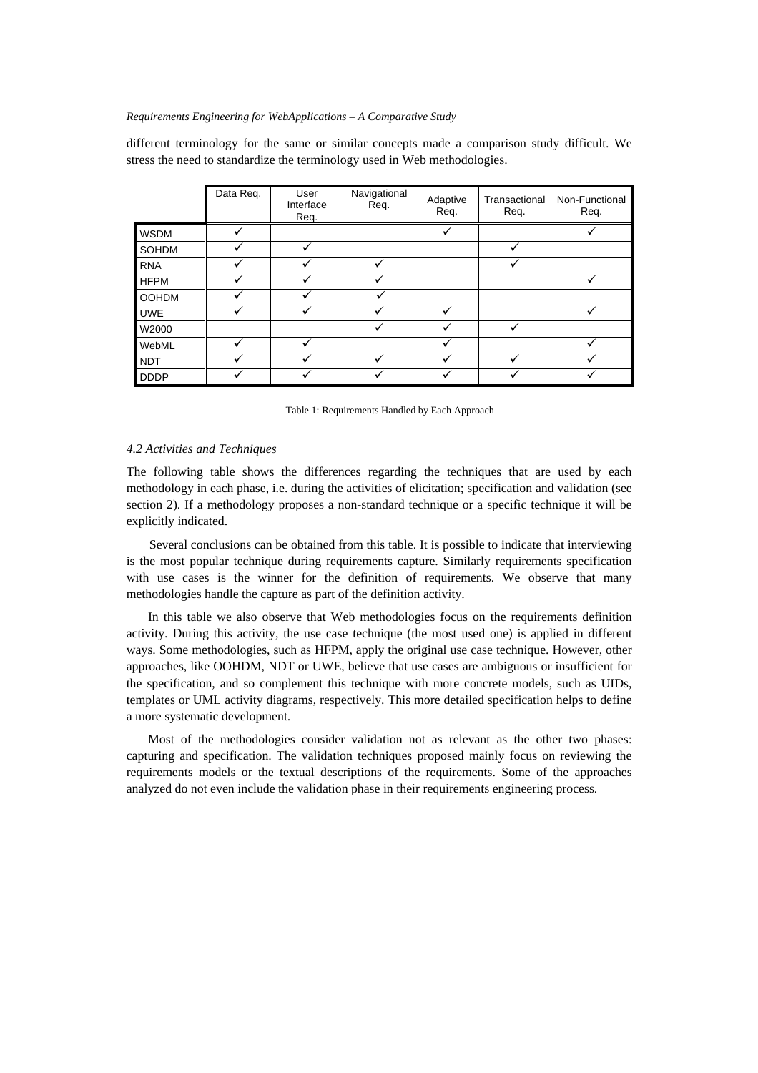different terminology for the same or similar concepts made a comparison study difficult. We stress the need to standardize the terminology used in Web methodologies.

|              | Data Req. | User<br>Interface<br>Req. | Navigational<br>Req. | Adaptive<br>Req. | Transactional<br>Req. | Non-Functional<br>Req. |
|--------------|-----------|---------------------------|----------------------|------------------|-----------------------|------------------------|
| <b>WSDM</b>  |           |                           |                      |                  |                       |                        |
| SOHDM        |           |                           |                      |                  |                       |                        |
| <b>RNA</b>   |           |                           | v                    |                  |                       |                        |
| <b>HFPM</b>  |           |                           |                      |                  |                       |                        |
| <b>OOHDM</b> |           |                           |                      |                  |                       |                        |
| <b>UWE</b>   |           |                           |                      |                  |                       |                        |
| W2000        |           |                           |                      |                  |                       |                        |
| WebML        |           |                           |                      |                  |                       |                        |
| <b>NDT</b>   |           |                           | v                    |                  |                       |                        |
| <b>DDDP</b>  |           |                           |                      |                  |                       |                        |

Table 1: Requirements Handled by Each Approach

#### *4.2 Activities and Techniques*

The following table shows the differences regarding the techniques that are used by each methodology in each phase, i.e. during the activities of elicitation; specification and validation (see section 2). If a methodology proposes a non-standard technique or a specific technique it will be explicitly indicated.

Several conclusions can be obtained from this table. It is possible to indicate that interviewing is the most popular technique during requirements capture. Similarly requirements specification with use cases is the winner for the definition of requirements. We observe that many methodologies handle the capture as part of the definition activity.

In this table we also observe that Web methodologies focus on the requirements definition activity. During this activity, the use case technique (the most used one) is applied in different ways. Some methodologies, such as HFPM, apply the original use case technique. However, other approaches, like OOHDM, NDT or UWE, believe that use cases are ambiguous or insufficient for the specification, and so complement this technique with more concrete models, such as UIDs, templates or UML activity diagrams, respectively. This more detailed specification helps to define a more systematic development.

Most of the methodologies consider validation not as relevant as the other two phases: capturing and specification. The validation techniques proposed mainly focus on reviewing the requirements models or the textual descriptions of the requirements. Some of the approaches analyzed do not even include the validation phase in their requirements engineering process.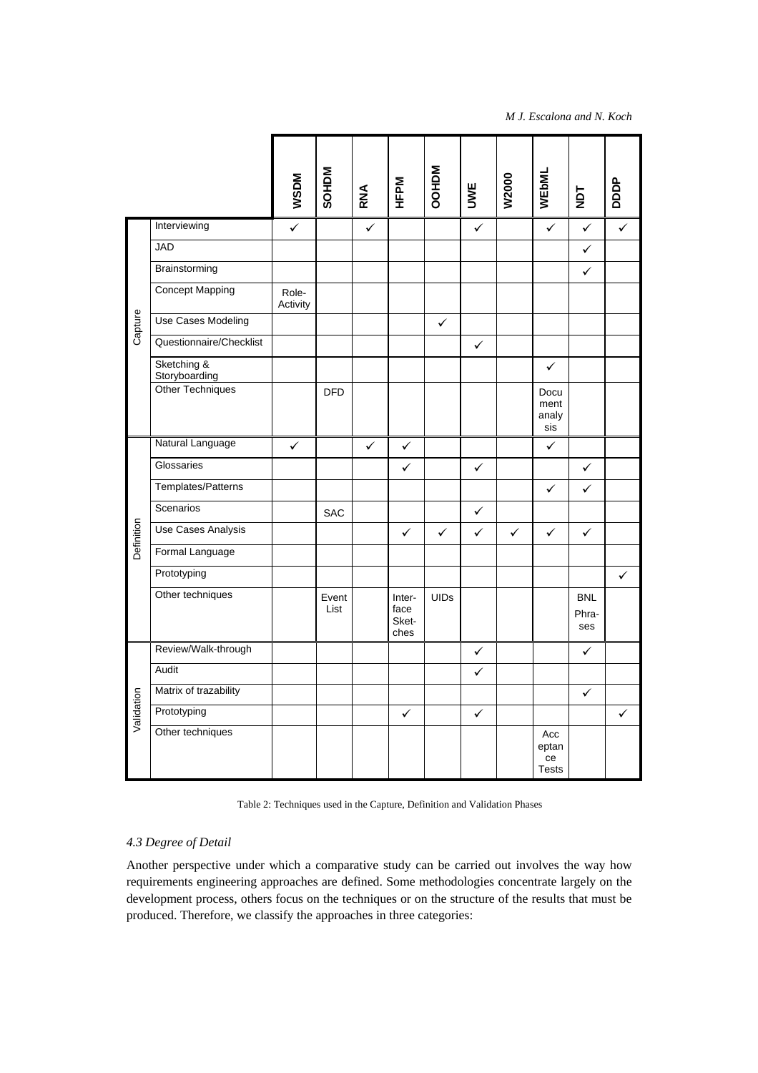*M J. Escalona and N. Koch* 

|            |                              | <b>WSDM</b>       | <b>SOHDM</b>  | RNA | HFPM                            | <b>NGHOO</b> | UWE          | W2000        | WEbML                              | 7dk                        | pppp         |
|------------|------------------------------|-------------------|---------------|-----|---------------------------------|--------------|--------------|--------------|------------------------------------|----------------------------|--------------|
| Capture    | Interviewing                 | ✓                 |               | ✓   |                                 |              | ✓            |              | $\checkmark$                       | $\checkmark$               | $\checkmark$ |
|            | <b>JAD</b>                   |                   |               |     |                                 |              |              |              |                                    | ✓                          |              |
|            | Brainstorming                |                   |               |     |                                 |              |              |              |                                    | ✓                          |              |
|            | <b>Concept Mapping</b>       | Role-<br>Activity |               |     |                                 |              |              |              |                                    |                            |              |
|            | Use Cases Modeling           |                   |               |     |                                 | ✓            |              |              |                                    |                            |              |
|            | Questionnaire/Checklist      |                   |               |     |                                 |              | $\checkmark$ |              |                                    |                            |              |
|            | Sketching &<br>Storyboarding |                   |               |     |                                 |              |              |              | $\checkmark$                       |                            |              |
|            | <b>Other Techniques</b>      |                   | <b>DFD</b>    |     |                                 |              |              |              | Docu<br>ment<br>analy<br>sis       |                            |              |
|            | Natural Language             | ✓                 |               | ✓   | ✓                               |              |              |              | ✓                                  |                            |              |
|            | Glossaries                   |                   |               |     | ✓                               |              | ✓            |              |                                    | $\checkmark$               |              |
|            | Templates/Patterns           |                   |               |     |                                 |              |              |              | $\checkmark$                       | ✓                          |              |
|            | Scenarios                    |                   | <b>SAC</b>    |     |                                 |              | ✓            |              |                                    |                            |              |
| Definition | Use Cases Analysis           |                   |               |     | $\checkmark$                    | ✓            | $\checkmark$ | $\checkmark$ | $\checkmark$                       | ✓                          |              |
|            | Formal Language              |                   |               |     |                                 |              |              |              |                                    |                            |              |
|            | Prototyping                  |                   |               |     |                                 |              |              |              |                                    |                            | ✓            |
|            | Other techniques             |                   | Event<br>List |     | Inter-<br>face<br>Sket-<br>ches | <b>UIDs</b>  |              |              |                                    | <b>BNL</b><br>Phra-<br>ses |              |
| Validation | Review/Walk-through          |                   |               |     |                                 |              | $\checkmark$ |              |                                    | $\checkmark$               |              |
|            | Audit                        |                   |               |     |                                 |              | ✓            |              |                                    |                            |              |
|            | Matrix of trazability        |                   |               |     |                                 |              |              |              |                                    | ✓                          |              |
|            | Prototyping                  |                   |               |     | $\checkmark$                    |              | ✓            |              |                                    |                            | ✓            |
|            | Other techniques             |                   |               |     |                                 |              |              |              | Acc<br>eptan<br>ce<br><b>Tests</b> |                            |              |

Table 2: Techniques used in the Capture, Definition and Validation Phases

# *4.3 Degree of Detail*

Another perspective under which a comparative study can be carried out involves the way how requirements engineering approaches are defined. Some methodologies concentrate largely on the development process, others focus on the techniques or on the structure of the results that must be produced. Therefore, we classify the approaches in three categories: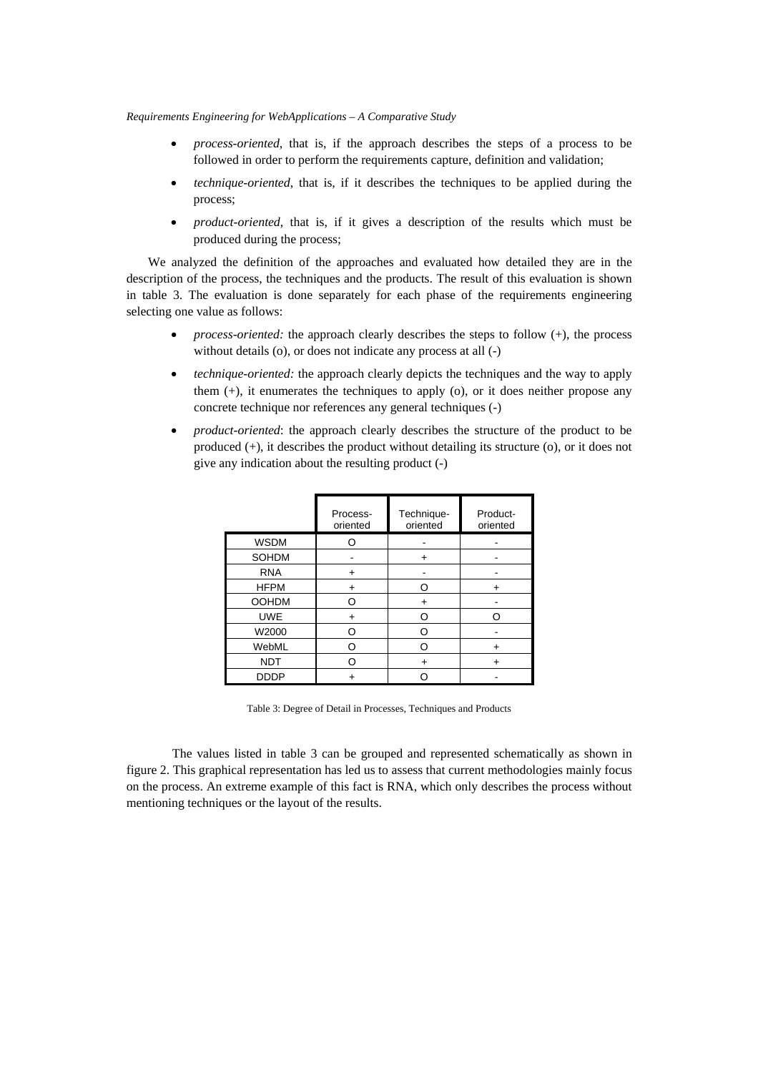- *process-oriented*, that is, if the approach describes the steps of a process to be followed in order to perform the requirements capture, definition and validation;
- *technique-oriented*, that is, if it describes the techniques to be applied during the process;
- *product-oriented*, that is, if it gives a description of the results which must be produced during the process;

We analyzed the definition of the approaches and evaluated how detailed they are in the description of the process, the techniques and the products. The result of this evaluation is shown in table 3. The evaluation is done separately for each phase of the requirements engineering selecting one value as follows:

- *process-oriented:* the approach clearly describes the steps to follow (+), the process without details (o), or does not indicate any process at all (-)
- *technique-oriented:* the approach clearly depicts the techniques and the way to apply them (+), it enumerates the techniques to apply (o), or it does neither propose any concrete technique nor references any general techniques (-)
- *product-oriented*: the approach clearly describes the structure of the product to be produced (+), it describes the product without detailing its structure (o), or it does not give any indication about the resulting product (-)

|              | Process-<br>oriented | Technique-<br>oriented   | Product-<br>oriented |
|--------------|----------------------|--------------------------|----------------------|
| <b>WSDM</b>  |                      |                          |                      |
| SOHDM        |                      | $\,{}^+$                 |                      |
| <b>RNA</b>   |                      |                          |                      |
| <b>HFPM</b>  | +                    | n                        | +                    |
| <b>OOHDM</b> | റ                    | $+$                      |                      |
| <b>UWE</b>   |                      | ∩                        |                      |
| W2000        | ∩                    | ◠                        |                      |
| WebML        | ∩                    | n                        | ٠                    |
| <b>NDT</b>   |                      | $\overline{\phantom{0}}$ |                      |
| <b>DDDP</b>  |                      |                          |                      |

Table 3: Degree of Detail in Processes, Techniques and Products

The values listed in table 3 can be grouped and represented schematically as shown in figure 2. This graphical representation has led us to assess that current methodologies mainly focus on the process. An extreme example of this fact is RNA, which only describes the process without mentioning techniques or the layout of the results.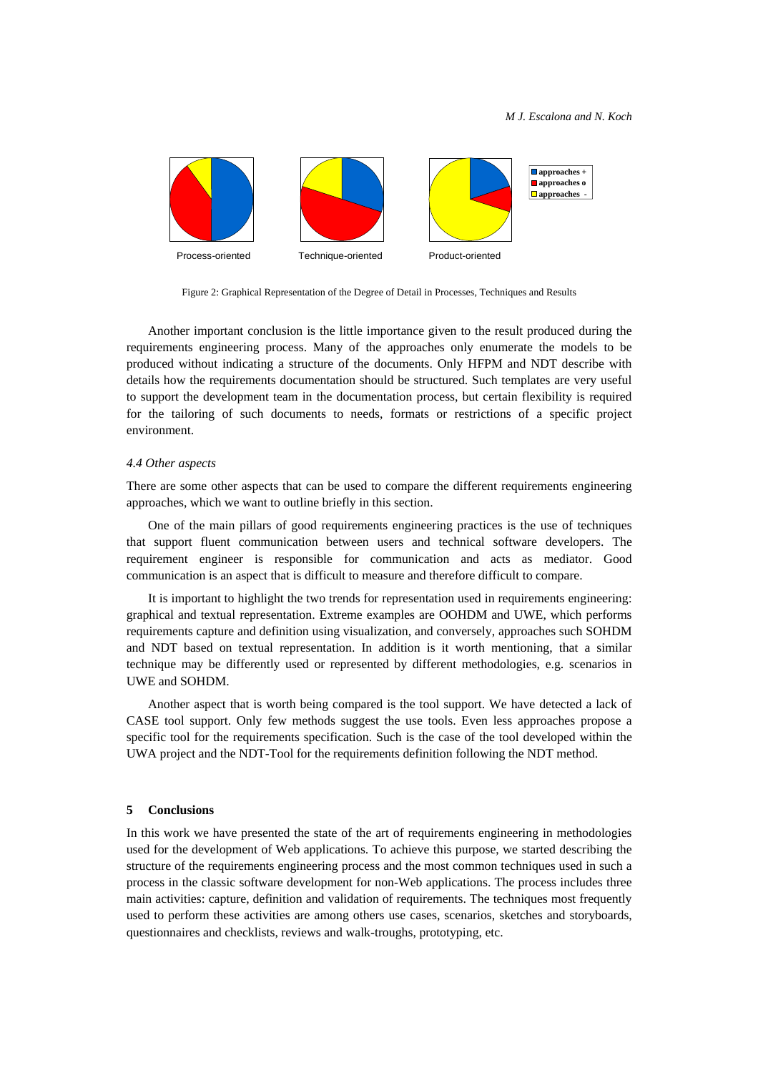

Figure 2: Graphical Representation of the Degree of Detail in Processes, Techniques and Results

Another important conclusion is the little importance given to the result produced during the requirements engineering process. Many of the approaches only enumerate the models to be produced without indicating a structure of the documents. Only HFPM and NDT describe with details how the requirements documentation should be structured. Such templates are very useful to support the development team in the documentation process, but certain flexibility is required for the tailoring of such documents to needs, formats or restrictions of a specific project environment.

#### *4.4 Other aspects*

There are some other aspects that can be used to compare the different requirements engineering approaches, which we want to outline briefly in this section.

One of the main pillars of good requirements engineering practices is the use of techniques that support fluent communication between users and technical software developers. The requirement engineer is responsible for communication and acts as mediator. Good communication is an aspect that is difficult to measure and therefore difficult to compare.

It is important to highlight the two trends for representation used in requirements engineering: graphical and textual representation. Extreme examples are OOHDM and UWE, which performs requirements capture and definition using visualization, and conversely, approaches such SOHDM and NDT based on textual representation. In addition is it worth mentioning, that a similar technique may be differently used or represented by different methodologies, e.g. scenarios in UWE and SOHDM.

Another aspect that is worth being compared is the tool support. We have detected a lack of CASE tool support. Only few methods suggest the use tools. Even less approaches propose a specific tool for the requirements specification. Such is the case of the tool developed within the UWA project and the NDT-Tool for the requirements definition following the NDT method.

## **5 Conclusions**

In this work we have presented the state of the art of requirements engineering in methodologies used for the development of Web applications. To achieve this purpose, we started describing the structure of the requirements engineering process and the most common techniques used in such a process in the classic software development for non-Web applications. The process includes three main activities: capture, definition and validation of requirements. The techniques most frequently used to perform these activities are among others use cases, scenarios, sketches and storyboards, questionnaires and checklists, reviews and walk-troughs, prototyping, etc.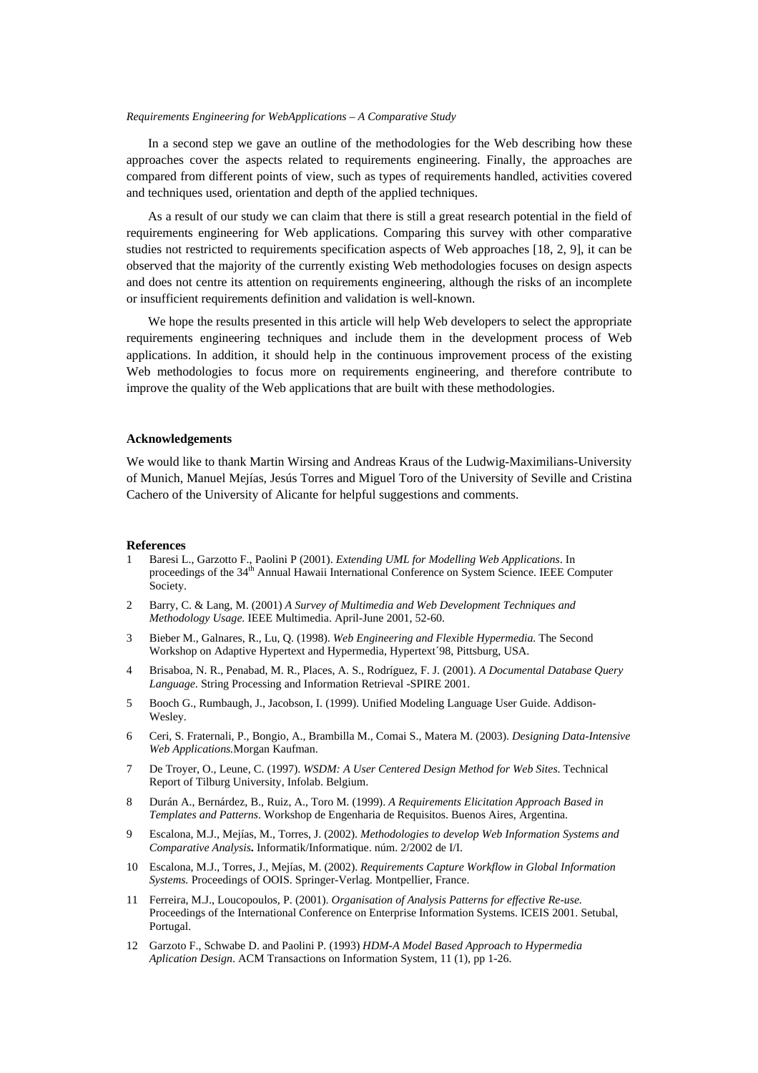In a second step we gave an outline of the methodologies for the Web describing how these approaches cover the aspects related to requirements engineering. Finally, the approaches are compared from different points of view, such as types of requirements handled, activities covered and techniques used, orientation and depth of the applied techniques.

As a result of our study we can claim that there is still a great research potential in the field of requirements engineering for Web applications. Comparing this survey with other comparative studies not restricted to requirements specification aspects of Web approaches [18, 2, 9], it can be observed that the majority of the currently existing Web methodologies focuses on design aspects and does not centre its attention on requirements engineering, although the risks of an incomplete or insufficient requirements definition and validation is well-known.

We hope the results presented in this article will help Web developers to select the appropriate requirements engineering techniques and include them in the development process of Web applications. In addition, it should help in the continuous improvement process of the existing Web methodologies to focus more on requirements engineering, and therefore contribute to improve the quality of the Web applications that are built with these methodologies.

### **Acknowledgements**

We would like to thank Martin Wirsing and Andreas Kraus of the Ludwig-Maximilians-University of Munich, Manuel Mejías, Jesús Torres and Miguel Toro of the University of Seville and Cristina Cachero of the University of Alicante for helpful suggestions and comments.

#### **References**

- 1 Baresi L., Garzotto F., Paolini P (2001). *Extending UML for Modelling Web Applications*. In proceedings of the 34<sup>th</sup> Annual Hawaii International Conference on System Science. IEEE Computer Society.
- 2 Barry, C. & Lang, M. (2001) *A Survey of Multimedia and Web Development Techniques and Methodology Usage.* IEEE Multimedia. April-June 2001, 52-60.
- 3 Bieber M., Galnares, R., Lu, Q. (1998). *Web Engineering and Flexible Hypermedia.* The Second Workshop on Adaptive Hypertext and Hypermedia, Hypertext´98, Pittsburg, USA.
- 4 Brisaboa, N. R., Penabad, M. R., Places, A. S., Rodríguez, F. J. (2001). *A Documental Database Query Language*. String Processing and Information Retrieval -SPIRE 2001.
- 5 Booch G., Rumbaugh, J., Jacobson, I. (1999). Unified Modeling Language User Guide. Addison-Wesley.
- 6 Ceri, S. Fraternali, P., Bongio, A., Brambilla M., Comai S., Matera M. (2003). *Designing Data-Intensive Web Applications.*Morgan Kaufman.
- 7 De Troyer, O., Leune, C. (1997). *WSDM: A User Centered Design Method for Web Sites*. Technical Report of Tilburg University, Infolab. Belgium.
- 8 Durán A., Bernárdez, B., Ruiz, A., Toro M. (1999). *A Requirements Elicitation Approach Based in Templates and Patterns*. Workshop de Engenharia de Requisitos. Buenos Aires, Argentina.
- 9 Escalona, M.J., Mejías, M., Torres, J. (2002). *Methodologies to develop Web Information Systems and Comparative Analysis***.** Informatik/Informatique. núm. 2/2002 de I/I.
- 10 Escalona, M.J., Torres, J., Mejías, M. (2002). *Requirements Capture Workflow in Global Information Systems.* Proceedings of OOIS. Springer-Verlag. Montpellier, France.
- 11 Ferreira, M.J., Loucopoulos, P. (2001). *Organisation of Analysis Patterns for effective Re-use.*  Proceedings of the International Conference on Enterprise Information Systems. ICEIS 2001. Setubal, Portugal.
- 12 Garzoto F., Schwabe D. and Paolini P. (1993) *HDM-A Model Based Approach to Hypermedia Aplication Design*. ACM Transactions on Information System, 11 (1), pp 1-26.